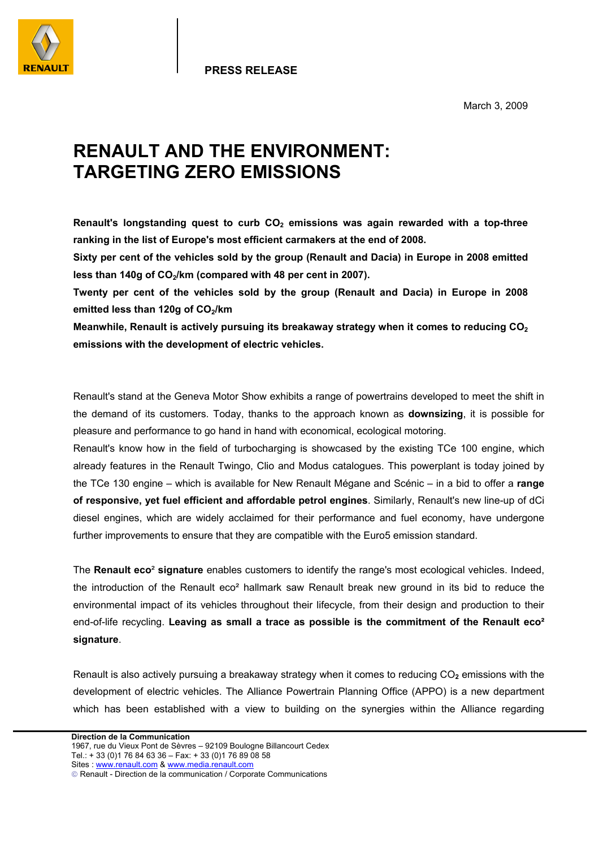

**PRESS RELEASE**

March 3, 2009

## **RENAULT AND THE ENVIRONMENT: TARGETING ZERO EMISSIONS**

Renault's longstanding quest to curb CO<sub>2</sub> emissions was again rewarded with a top-three **ranking in the list of Europe's most efficient carmakers at the end of 2008.** 

**Sixty per cent of the vehicles sold by the group (Renault and Dacia) in Europe in 2008 emitted**  less than 140g of CO<sub>2</sub>/km (compared with 48 per cent in 2007).

**Twenty per cent of the vehicles sold by the group (Renault and Dacia) in Europe in 2008**  emitted less than 120g of CO<sub>2</sub>/km

**Meanwhile, Renault is actively pursuing its breakaway strategy when it comes to reducing CO<sub>2</sub> emissions with the development of electric vehicles.** 

Renault's stand at the Geneva Motor Show exhibits a range of powertrains developed to meet the shift in the demand of its customers. Today, thanks to the approach known as **downsizing**, it is possible for pleasure and performance to go hand in hand with economical, ecological motoring.

Renault's know how in the field of turbocharging is showcased by the existing TCe 100 engine, which already features in the Renault Twingo, Clio and Modus catalogues. This powerplant is today joined by the TCe 130 engine – which is available for New Renault Mégane and Scénic – in a bid to offer a **range of responsive, yet fuel efficient and affordable petrol engines**. Similarly, Renault's new line-up of dCi diesel engines, which are widely acclaimed for their performance and fuel economy, have undergone further improvements to ensure that they are compatible with the Euro5 emission standard.

The **Renault eco**² **signature** enables customers to identify the range's most ecological vehicles. Indeed, the introduction of the Renault eco<sup>2</sup> hallmark saw Renault break new ground in its bid to reduce the environmental impact of its vehicles throughout their lifecycle, from their design and production to their end-of-life recycling. **Leaving as small a trace as possible is the commitment of the Renault eco² signature**.

Renault is also actively pursuing a breakaway strategy when it comes to reducing CO**2** emissions with the development of electric vehicles. The Alliance Powertrain Planning Office (APPO) is a new department which has been established with a view to building on the synergies within the Alliance regarding